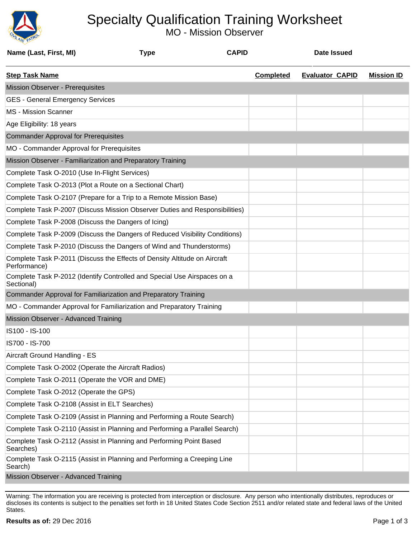

## Specialty Qualification Training Worksheet

MO - Mission Observer

| Name (Last, First, MI)                                      | <b>Type</b>                                                                 | <b>CAPID</b> |                  | <b>Date Issued</b>     |                   |
|-------------------------------------------------------------|-----------------------------------------------------------------------------|--------------|------------------|------------------------|-------------------|
| <b>Step Task Name</b>                                       |                                                                             |              | <b>Completed</b> | <b>Evaluator CAPID</b> | <b>Mission ID</b> |
| Mission Observer - Prerequisites                            |                                                                             |              |                  |                        |                   |
| <b>GES - General Emergency Services</b>                     |                                                                             |              |                  |                        |                   |
| <b>MS</b> - Mission Scanner                                 |                                                                             |              |                  |                        |                   |
| Age Eligibility: 18 years                                   |                                                                             |              |                  |                        |                   |
| <b>Commander Approval for Prerequisites</b>                 |                                                                             |              |                  |                        |                   |
| MO - Commander Approval for Prerequisites                   |                                                                             |              |                  |                        |                   |
| Mission Observer - Familiarization and Preparatory Training |                                                                             |              |                  |                        |                   |
| Complete Task O-2010 (Use In-Flight Services)               |                                                                             |              |                  |                        |                   |
| Complete Task O-2013 (Plot a Route on a Sectional Chart)    |                                                                             |              |                  |                        |                   |
|                                                             | Complete Task O-2107 (Prepare for a Trip to a Remote Mission Base)          |              |                  |                        |                   |
|                                                             | Complete Task P-2007 (Discuss Mission Observer Duties and Responsibilities) |              |                  |                        |                   |
| Complete Task P-2008 (Discuss the Dangers of Icing)         |                                                                             |              |                  |                        |                   |
|                                                             | Complete Task P-2009 (Discuss the Dangers of Reduced Visibility Conditions) |              |                  |                        |                   |
|                                                             | Complete Task P-2010 (Discuss the Dangers of Wind and Thunderstorms)        |              |                  |                        |                   |
| Performance)                                                | Complete Task P-2011 (Discuss the Effects of Density Altitude on Aircraft   |              |                  |                        |                   |
| Sectional)                                                  | Complete Task P-2012 (Identify Controlled and Special Use Airspaces on a    |              |                  |                        |                   |
|                                                             | Commander Approval for Familiarization and Preparatory Training             |              |                  |                        |                   |
|                                                             | MO - Commander Approval for Familiarization and Preparatory Training        |              |                  |                        |                   |
| Mission Observer - Advanced Training                        |                                                                             |              |                  |                        |                   |
| IS100 - IS-100                                              |                                                                             |              |                  |                        |                   |
| IS700 - IS-700                                              |                                                                             |              |                  |                        |                   |
| Aircraft Ground Handling - ES                               |                                                                             |              |                  |                        |                   |
| Complete Task O-2002 (Operate the Aircraft Radios)          |                                                                             |              |                  |                        |                   |
| Complete Task O-2011 (Operate the VOR and DME)              |                                                                             |              |                  |                        |                   |
| Complete Task O-2012 (Operate the GPS)                      |                                                                             |              |                  |                        |                   |
| Complete Task O-2108 (Assist in ELT Searches)               |                                                                             |              |                  |                        |                   |
|                                                             | Complete Task O-2109 (Assist in Planning and Performing a Route Search)     |              |                  |                        |                   |
|                                                             | Complete Task O-2110 (Assist in Planning and Performing a Parallel Search)  |              |                  |                        |                   |
| Searches)                                                   | Complete Task O-2112 (Assist in Planning and Performing Point Based         |              |                  |                        |                   |
| Search)                                                     | Complete Task O-2115 (Assist in Planning and Performing a Creeping Line     |              |                  |                        |                   |
| Mission Observer - Advanced Training                        |                                                                             |              |                  |                        |                   |

Warning: The information you are receiving is protected from interception or disclosure. Any person who intentionally distributes, reproduces or discloses its contents is subject to the penalties set forth in 18 United States Code Section 2511 and/or related state and federal laws of the United States.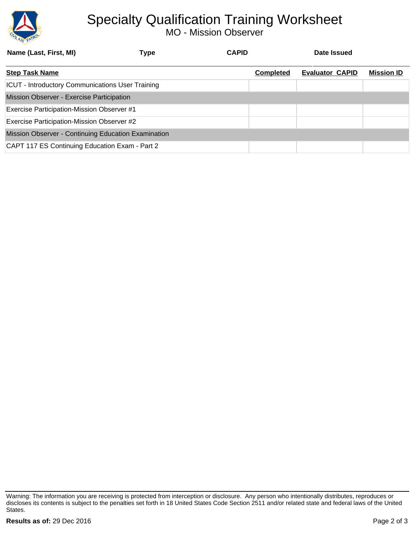

## Specialty Qualification Training Worksheet

MO - Mission Observer

| Name (Last, First, MI)                                  | Type | <b>CAPID</b> |                  | Date Issued            |                   |
|---------------------------------------------------------|------|--------------|------------------|------------------------|-------------------|
| <b>Step Task Name</b>                                   |      |              | <b>Completed</b> | <b>Evaluator CAPID</b> | <b>Mission ID</b> |
| <b>ICUT - Introductory Communications User Training</b> |      |              |                  |                        |                   |
| Mission Observer - Exercise Participation               |      |              |                  |                        |                   |
| <b>Exercise Participation-Mission Observer #1</b>       |      |              |                  |                        |                   |
| Exercise Participation-Mission Observer #2              |      |              |                  |                        |                   |
| Mission Observer - Continuing Education Examination     |      |              |                  |                        |                   |
| CAPT 117 ES Continuing Education Exam - Part 2          |      |              |                  |                        |                   |

Warning: The information you are receiving is protected from interception or disclosure. Any person who intentionally distributes, reproduces or discloses its contents is subject to the penalties set forth in 18 United States Code Section 2511 and/or related state and federal laws of the United States.